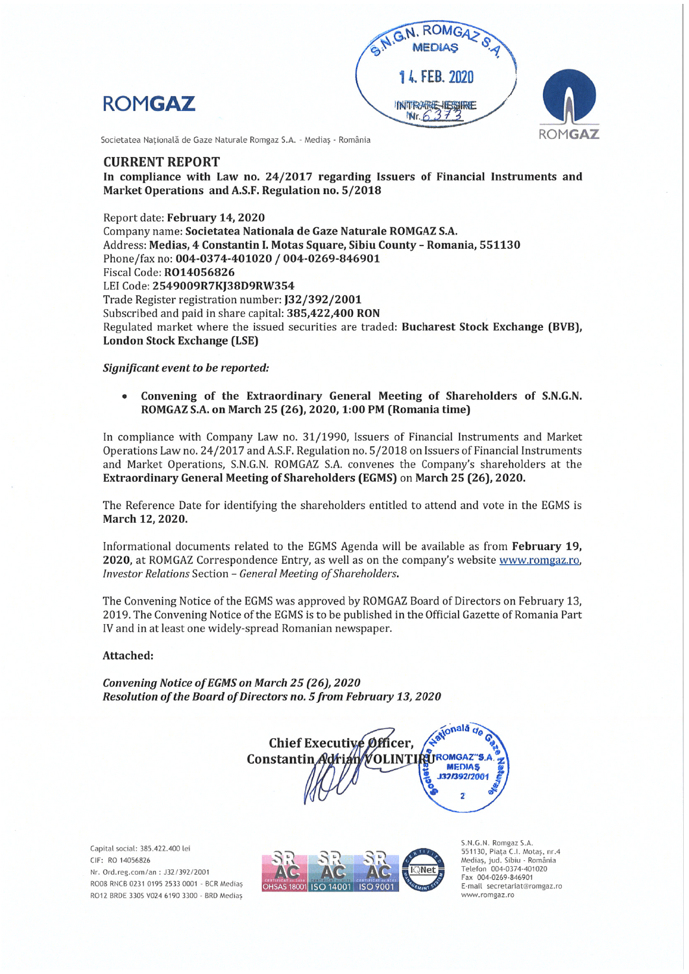





Societatea Natională de Gaze Naturale Romgaz S.A. - Mediaș - România

### **CURRENT REPORT**

In compliance with Law no. 24/2017 regarding Issuers of Financial Instruments and Market Operations and A.S.F. Regulation no. 5/2018

Report date: February 14, 2020 Company name: Societatea Nationala de Gaze Naturale ROMGAZ S.A. Address: Medias, 4 Constantin I. Motas Square, Sibiu County - Romania, 551130 Phone/fax no: 004-0374-401020 / 004-0269-846901 Fiscal Code: RO14056826 LEI Code: 2549009R7KJ38D9RW354 Trade Register registration number: J32/392/2001 Subscribed and paid in share capital: 385,422,400 RON Regulated market where the issued securities are traded: Bucharest Stock Exchange (BVB), **London Stock Exchange (LSE)** 

#### Significant event to be reported:

Convening of the Extraordinary General Meeting of Shareholders of S.N.G.N.  $\bullet$ ROMGAZ S.A. on March 25 (26), 2020, 1:00 PM (Romania time)

In compliance with Company Law no. 31/1990, Issuers of Financial Instruments and Market Operations Law no. 24/2017 and A.S.F. Regulation no. 5/2018 on Issuers of Financial Instruments and Market Operations, S.N.G.N. ROMGAZ S.A. convenes the Company's shareholders at the Extraordinary General Meeting of Shareholders (EGMS) on March 25 (26), 2020.

The Reference Date for identifying the shareholders entitled to attend and vote in the EGMS is March 12, 2020.

Informational documents related to the EGMS Agenda will be available as from February 19, 2020, at ROMGAZ Correspondence Entry, as well as on the company's website www.romgaz.ro, Investor Relations Section - General Meeting of Shareholders.

The Convening Notice of the EGMS was approved by ROMGAZ Board of Directors on February 13, 2019. The Convening Notice of the EGMS is to be published in the Official Gazette of Romania Part IV and in at least one widely-spread Romanian newspaper.

#### Attached:

Convening Notice of EGMS on March 25 (26), 2020 Resolution of the Board of Directors no. 5 from February 13, 2020

atională de Chief Executive Officer. **PE TROMGAZ"S.** Constantin **OLINTI MEDIAS** 132/392/2001  $\overline{2}$ 

Capital social: 385.422.400 lei CIF: RO 14056826 Nr. Ord.reg.com/an: J32/392/2001 RO08 RNCB 0231 0195 2533 0001 - BCR Medias RO12 BRDE 330S V024 6190 3300 - BRD Medias



S.N.G.N. Romgaz S.A 551130, Piața C.I. Motaș, nr.4<br>Mediaș, jud. Sibiu - România Telefon 004-0374-401020 Fax 004-0269-846901 E-mail secretariat@romgaz.ro www.romgaz.ro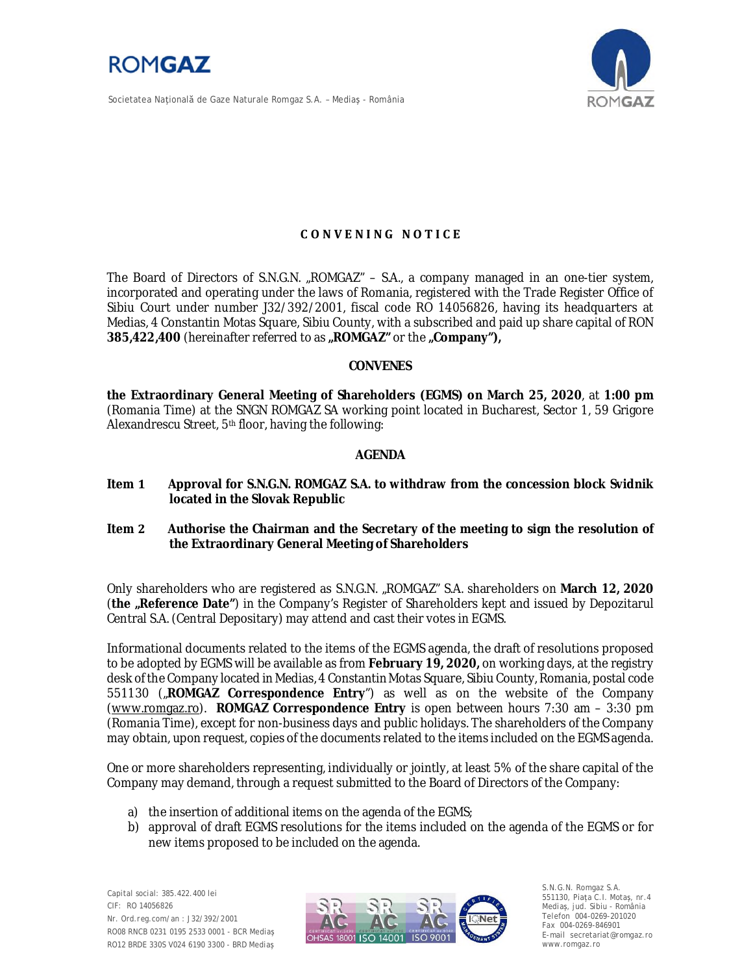

Societatea Naţională de Gaze Naturale Romgaz S.A. – Mediaş - România



# **CONVENING NOTICE**

The Board of Directors of S.N.G.N. "ROMGAZ" - S.A., a company managed in an one-tier system, incorporated and operating under the laws of Romania, registered with the Trade Register Office of Sibiu Court under number J32/392/2001, fiscal code RO 14056826, having its headquarters at Medias, 4 Constantin Motas Square, Sibiu County, with a subscribed and paid up share capital of RON **385,422,400** (hereinafter referred to as **"ROMGAZ"** or the **"Company"),**

#### **CONVENES**

**the Extraordinary General Meeting of Shareholders (EGMS) on March 25, 2020**, at **1:00 pm** (Romania Time) at the SNGN ROMGAZ SA working point located in Bucharest, Sector 1, 59 Grigore Alexandrescu Street, 5th floor, having the following:

### **AGENDA**

- **Item 1 Approval for S.N.G.N. ROMGAZ S.A. to withdraw from the concession block Svidnik located in the Slovak Republic**
- **Item 2 Authorise the Chairman and the Secretary of the meeting to sign the resolution of the Extraordinary General Meeting of Shareholders**

Only shareholders who are registered as S.N.G.N. "ROMGAZ" S.A. shareholders on **March 12, 2020** (**the "Reference Date"**) in the Company's Register of Shareholders kept and issued by Depozitarul Central S.A. (Central Depositary) may attend and cast their votes in EGMS.

Informational documents related to the items of the EGMS agenda, the draft of resolutions proposed to be adopted by EGMS will be available as from **February 19, 2020,** on working days, at the registry desk of the Company located in Medias, 4 Constantin Motas Square, Sibiu County, Romania, postal code 551130 ("**ROMGAZ Correspondence Entry**") as well as on the website of the Company (www.romgaz.ro). **ROMGAZ Correspondence Entry** is open between hours 7:30 am – 3:30 pm (Romania Time), except for non-business days and public holidays. The shareholders of the Company may obtain, upon request, copies of the documents related to the items included on the EGMS agenda.

One or more shareholders representing, individually or jointly, at least 5% of the share capital of the Company may demand, through a request submitted to the Board of Directors of the Company:

- a) the insertion of additional items on the agenda of the EGMS;
- b) approval of draft EGMS resolutions for the items included on the agenda of the EGMS or for new items proposed to be included on the agenda.



S.N.G.N. Romgaz S.A. 551130, Piața C.I. Motaş, nr.4 Mediaş, jud. Sibiu - România Telefon 004-0269-201020 Fax 004-0269-846901 E-mail secretariat@romgaz.ro www.romgaz.ro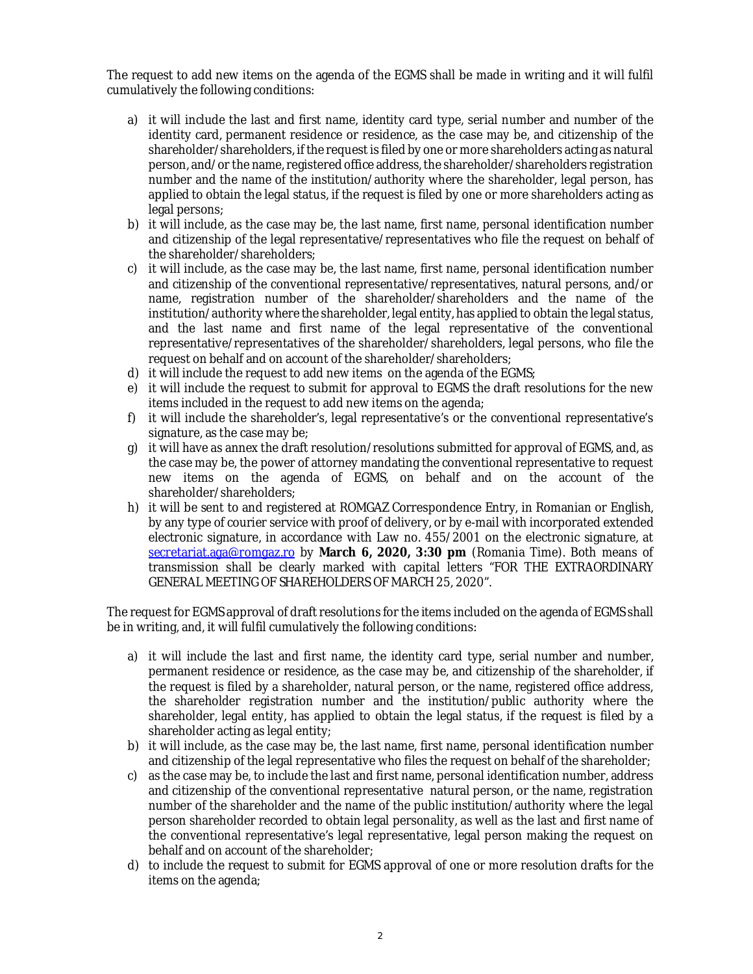The request to add new items on the agenda of the EGMS shall be made in writing and it will fulfil cumulatively the following conditions:

- a) it will include the last and first name, identity card type, serial number and number of the identity card, permanent residence or residence, as the case may be, and citizenship of the shareholder/shareholders, if the request is filed by one or more shareholders acting as natural person, and/or the name, registered office address, the shareholder/shareholders registration number and the name of the institution/authority where the shareholder, legal person, has applied to obtain the legal status, if the request is filed by one or more shareholders acting as legal persons;
- b) it will include, as the case may be, the last name, first name, personal identification number and citizenship of the legal representative/representatives who file the request on behalf of the shareholder/shareholders;
- c) it will include, as the case may be, the last name, first name, personal identification number and citizenship of the conventional representative/representatives, natural persons, and/or name, registration number of the shareholder/shareholders and the name of the institution/authority where the shareholder, legal entity, has applied to obtain the legal status, and the last name and first name of the legal representative of the conventional representative/representatives of the shareholder/shareholders, legal persons, who file the request on behalf and on account of the shareholder/shareholders;
- d) it will include the request to add new items on the agenda of the EGMS;
- e) it will include the request to submit for approval to EGMS the draft resolutions for the new items included in the request to add new items on the agenda;
- f) it will include the shareholder's, legal representative's or the conventional representative's signature, as the case may be;
- g) it will have as annex the draft resolution/resolutions submitted for approval of EGMS, and, as the case may be, the power of attorney mandating the conventional representative to request new items on the agenda of EGMS, on behalf and on the account of the shareholder/shareholders;
- h) it will be sent to and registered at ROMGAZ Correspondence Entry, in Romanian or English, by any type of courier service with proof of delivery, or by e-mail with incorporated extended electronic signature, in accordance with Law no. 455/2001 on the electronic signature, at secretariat.aga@romgaz.ro by **March 6, 2020, 3:30 pm** (Romania Time). Both means of transmission shall be clearly marked with capital letters "FOR THE EXTRAORDINARY GENERAL MEETING OF SHAREHOLDERS OF MARCH 25, 2020".

The request for EGMS approval of draft resolutions for the items included on the agenda of EGMS shall be in writing, and, it will fulfil cumulatively the following conditions:

- a) it will include the last and first name, the identity card type, serial number and number, permanent residence or residence, as the case may be, and citizenship of the shareholder, if the request is filed by a shareholder, natural person, or the name, registered office address, the shareholder registration number and the institution/public authority where the shareholder, legal entity, has applied to obtain the legal status, if the request is filed by a shareholder acting as legal entity;
- b) it will include, as the case may be, the last name, first name, personal identification number and citizenship of the legal representative who files the request on behalf of the shareholder;
- c) as the case may be, to include the last and first name, personal identification number, address and citizenship of the conventional representative natural person, or the name, registration number of the shareholder and the name of the public institution/authority where the legal person shareholder recorded to obtain legal personality, as well as the last and first name of the conventional representative's legal representative, legal person making the request on behalf and on account of the shareholder;
- d) to include the request to submit for EGMS approval of one or more resolution drafts for the items on the agenda;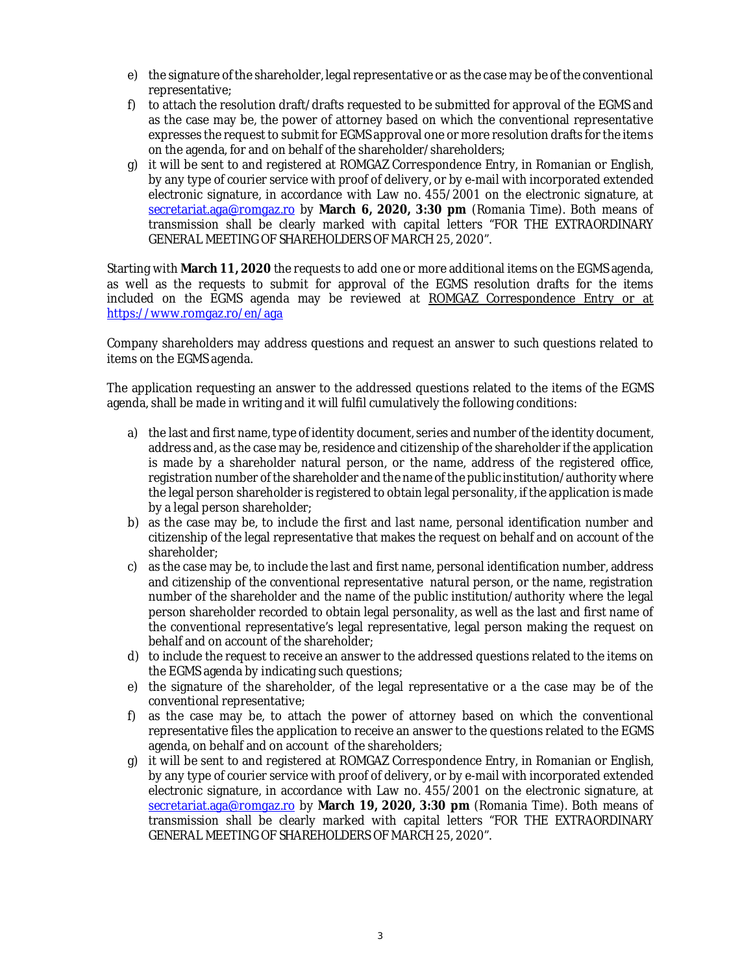- e) the signature of the shareholder, legal representative or as the case may be of the conventional representative;
- f) to attach the resolution draft/drafts requested to be submitted for approval of the EGMS and as the case may be, the power of attorney based on which the conventional representative expresses the request to submit for EGMS approval one or more resolution drafts for the items on the agenda, for and on behalf of the shareholder/shareholders;
- g) it will be sent to and registered at ROMGAZ Correspondence Entry, in Romanian or English, by any type of courier service with proof of delivery, or by e-mail with incorporated extended electronic signature, in accordance with Law no. 455/2001 on the electronic signature, at secretariat.aga@romgaz.ro by **March 6, 2020, 3:30 pm** (Romania Time). Both means of transmission shall be clearly marked with capital letters "FOR THE EXTRAORDINARY GENERAL MEETING OF SHAREHOLDERS OF MARCH 25, 2020".

Starting with **March 11, 2020** the requests to add one or more additional items on the EGMS agenda, as well as the requests to submit for approval of the EGMS resolution drafts for the items included on the EGMS agenda may be reviewed at ROMGAZ Correspondence Entry or at https://www.romgaz.ro/en/aga

Company shareholders may address questions and request an answer to such questions related to items on the EGMS agenda.

The application requesting an answer to the addressed questions related to the items of the EGMS agenda, shall be made in writing and it will fulfil cumulatively the following conditions:

- a) the last and first name, type of identity document, series and number of the identity document, address and, as the case may be, residence and citizenship of the shareholder if the application is made by a shareholder natural person, or the name, address of the registered office, registration number of the shareholder and the name of the public institution/authority where the legal person shareholder is registered to obtain legal personality, if the application is made by a legal person shareholder;
- b) as the case may be, to include the first and last name, personal identification number and citizenship of the legal representative that makes the request on behalf and on account of the shareholder;
- c) as the case may be, to include the last and first name, personal identification number, address and citizenship of the conventional representative natural person, or the name, registration number of the shareholder and the name of the public institution/authority where the legal person shareholder recorded to obtain legal personality, as well as the last and first name of the conventional representative's legal representative, legal person making the request on behalf and on account of the shareholder;
- d) to include the request to receive an answer to the addressed questions related to the items on the EGMS agenda by indicating such questions;
- e) the signature of the shareholder, of the legal representative or a the case may be of the conventional representative;
- f) as the case may be, to attach the power of attorney based on which the conventional representative files the application to receive an answer to the questions related to the EGMS agenda, on behalf and on account of the shareholders;
- g) it will be sent to and registered at ROMGAZ Correspondence Entry, in Romanian or English, by any type of courier service with proof of delivery, or by e-mail with incorporated extended electronic signature, in accordance with Law no. 455/2001 on the electronic signature, at secretariat.aga@romgaz.ro by **March 19, 2020, 3:30 pm** (Romania Time). Both means of transmission shall be clearly marked with capital letters "FOR THE EXTRAORDINARY GENERAL MEETING OF SHAREHOLDERS OF MARCH 25, 2020".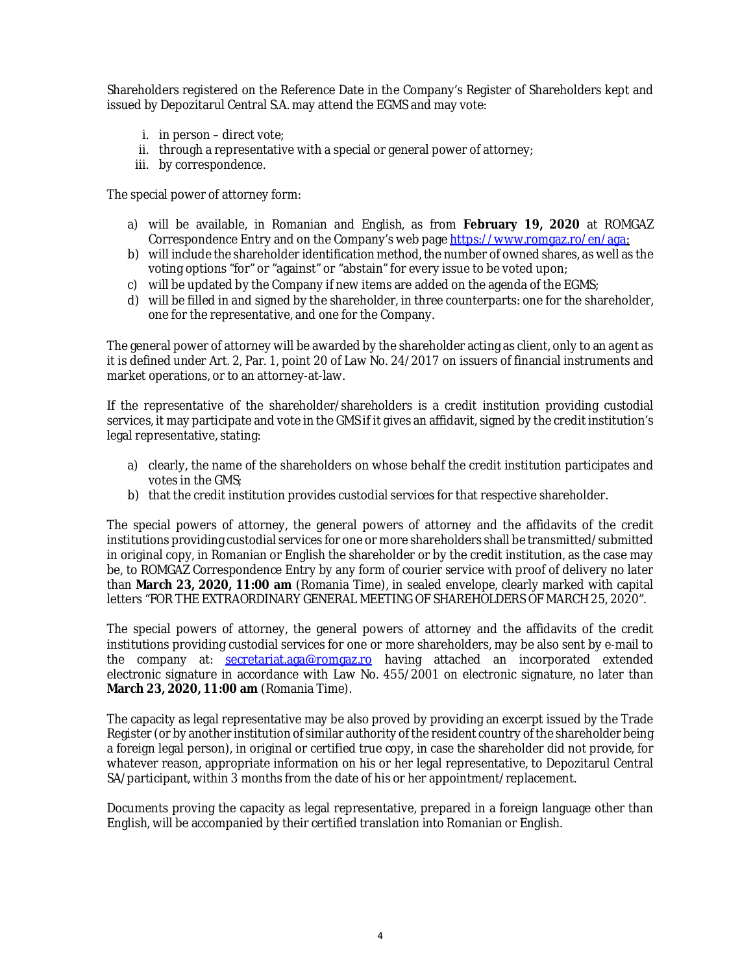Shareholders registered on the Reference Date in the Company's Register of Shareholders kept and issued by Depozitarul Central S.A. may attend the EGMS and may vote:

- i. in person direct vote;
- ii. through a representative with a special or general power of attorney;
- iii. by correspondence.

The special power of attorney form:

- a) will be available, in Romanian and English, as from **February 19, 2020** at ROMGAZ Correspondence Entry and on the Company's web page https://www.romgaz.ro/en/aga;
- b) will include the shareholder identification method, the number of owned shares, as well as the voting options "for" or "against" or "abstain" for every issue to be voted upon;
- c) will be updated by the Company if new items are added on the agenda of the EGMS;
- d) will be filled in and signed by the shareholder, in three counterparts: one for the shareholder, one for the representative, and one for the Company.

The general power of attorney will be awarded by the shareholder acting as client, only to an agent as it is defined under Art. 2, Par. 1, point 20 of Law No. 24/2017 on issuers of financial instruments and market operations, or to an attorney-at-law.

If the representative of the shareholder/shareholders is a credit institution providing custodial services, it may participate and vote in the GMS if it gives an affidavit, signed by the credit institution's legal representative, stating:

- a) clearly, the name of the shareholders on whose behalf the credit institution participates and votes in the GMS;
- b) that the credit institution provides custodial services for that respective shareholder.

The special powers of attorney, the general powers of attorney and the affidavits of the credit institutions providing custodial services for one or more shareholders shall be transmitted/submitted in original copy, in Romanian or English the shareholder or by the credit institution, as the case may be, to ROMGAZ Correspondence Entry by any form of courier service with proof of delivery no later than **March 23, 2020, 11:00 am** (Romania Time), in sealed envelope, clearly marked with capital letters "FOR THE EXTRAORDINARY GENERAL MEETING OF SHAREHOLDERS OF MARCH 25, 2020".

The special powers of attorney, the general powers of attorney and the affidavits of the credit institutions providing custodial services for one or more shareholders, may be also sent by e-mail to the company at: secretariat.aga@romgaz.ro having attached an incorporated extended electronic signature in accordance with Law No. 455/2001 on electronic signature, no later than **March 23, 2020, 11:00 am** (Romania Time).

The capacity as legal representative may be also proved by providing an excerpt issued by the Trade Register (or by another institution of similar authority of the resident country of the shareholder being a foreign legal person), in original or certified true copy, in case the shareholder did not provide, for whatever reason, appropriate information on his or her legal representative, to Depozitarul Central SA/participant, within 3 months from the date of his or her appointment/replacement.

Documents proving the capacity as legal representative, prepared in a foreign language other than English, will be accompanied by their certified translation into Romanian or English.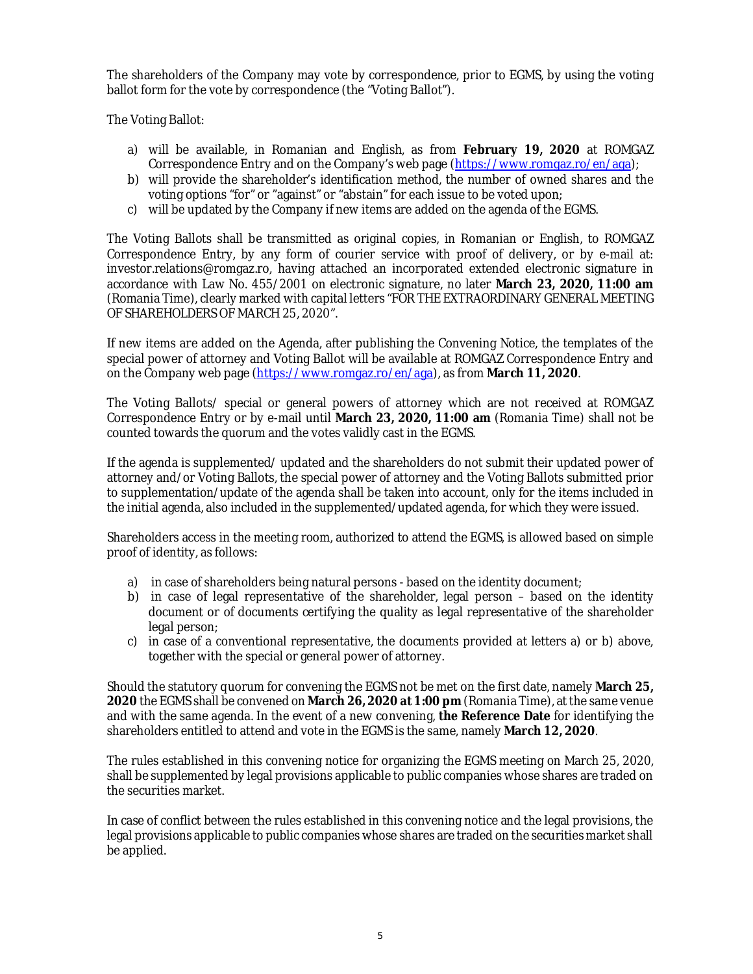The shareholders of the Company may vote by correspondence, prior to EGMS, by using the voting ballot form for the vote by correspondence (the "Voting Ballot").

The Voting Ballot:

- a) will be available, in Romanian and English, as from **February 19, 2020** at ROMGAZ Correspondence Entry and on the Company's web page (https://www.romgaz.ro/en/aga);
- b) will provide the shareholder's identification method, the number of owned shares and the voting options "for" or "against" or "abstain" for each issue to be voted upon;
- c) will be updated by the Company if new items are added on the agenda of the EGMS.

The Voting Ballots shall be transmitted as original copies, in Romanian or English, to ROMGAZ Correspondence Entry, by any form of courier service with proof of delivery, or by e-mail at: investor.relations@romgaz.ro, having attached an incorporated extended electronic signature in accordance with Law No. 455/2001 on electronic signature, no later **March 23, 2020, 11:00 am** (Romania Time), clearly marked with capital letters "FOR THE EXTRAORDINARY GENERAL MEETING OF SHAREHOLDERS OF MARCH 25, 2020".

If new items are added on the Agenda, after publishing the Convening Notice, the templates of the special power of attorney and Voting Ballot will be available at ROMGAZ Correspondence Entry and on the Company web page (https://www.romgaz.ro/en/aga), as from **March 11, 2020**.

The Voting Ballots/ special or general powers of attorney which are not received at ROMGAZ Correspondence Entry or by e-mail until **March 23, 2020, 11:00 am** (Romania Time) shall not be counted towards the quorum and the votes validly cast in the EGMS.

If the agenda is supplemented/ updated and the shareholders do not submit their updated power of attorney and/or Voting Ballots, the special power of attorney and the Voting Ballots submitted prior to supplementation/update of the agenda shall be taken into account, only for the items included in the initial agenda, also included in the supplemented/updated agenda, for which they were issued.

Shareholders access in the meeting room, authorized to attend the EGMS, is allowed based on simple proof of identity, as follows:

- a) in case of shareholders being natural persons based on the identity document;
- b) in case of legal representative of the shareholder, legal person based on the identity document or of documents certifying the quality as legal representative of the shareholder legal person;
- c) in case of a conventional representative, the documents provided at letters a) or b) above, together with the special or general power of attorney.

Should the statutory quorum for convening the EGMS not be met on the first date, namely **March 25, 2020** the EGMS shall be convened on **March 26, 2020 at 1:00 pm** (Romania Time), at the same venue and with the same agenda. In the event of a new convening, **the Reference Date** for identifying the shareholders entitled to attend and vote in the EGMS is the same, namely **March 12, 2020**.

The rules established in this convening notice for organizing the EGMS meeting on March 25, 2020, shall be supplemented by legal provisions applicable to public companies whose shares are traded on the securities market.

In case of conflict between the rules established in this convening notice and the legal provisions, the legal provisions applicable to public companies whose shares are traded on the securities market shall be applied.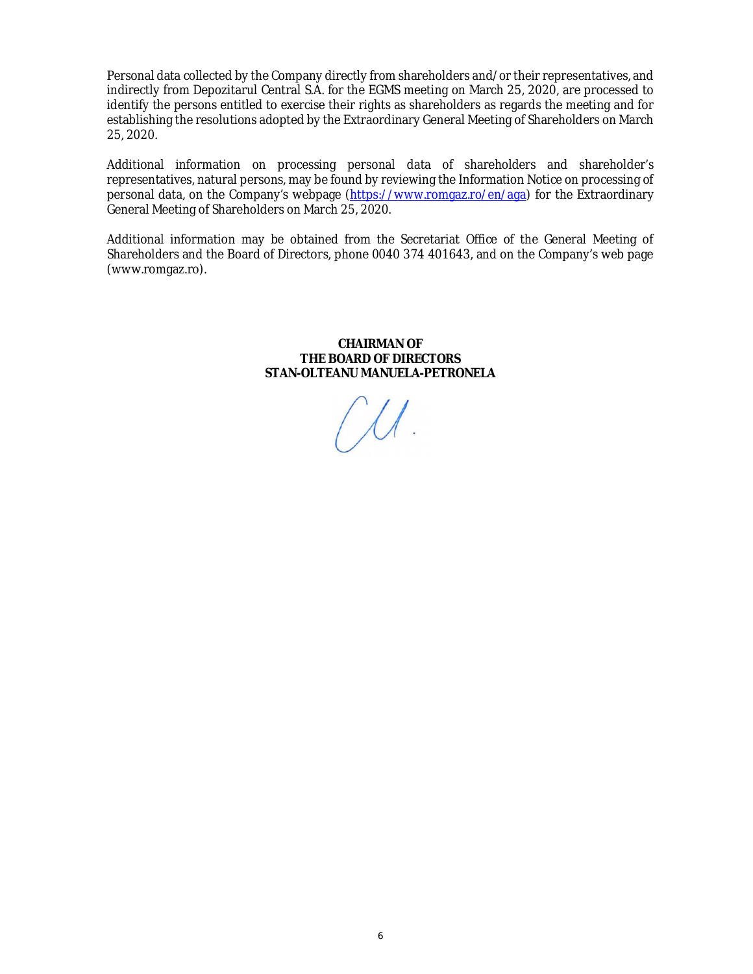Personal data collected by the Company directly from shareholders and/or their representatives, and indirectly from Depozitarul Central S.A. for the EGMS meeting on March 25, 2020, are processed to identify the persons entitled to exercise their rights as shareholders as regards the meeting and for establishing the resolutions adopted by the Extraordinary General Meeting of Shareholders on March 25, 2020.

Additional information on processing personal data of shareholders and shareholder's representatives, natural persons, may be found by reviewing the Information Notice on processing of personal data, on the Company's webpage (https://www.romgaz.ro/en/aga) for the Extraordinary General Meeting of Shareholders on March 25, 2020.

Additional information may be obtained from the Secretariat Office of the General Meeting of Shareholders and the Board of Directors, phone 0040 374 401643, and on the Company's web page (www.romgaz.ro).

> **CHAIRMAN OF THE BOARD OF DIRECTORS STAN-OLTEANU MANUELA-PETRONELA**

 $(\mathcal{M}).$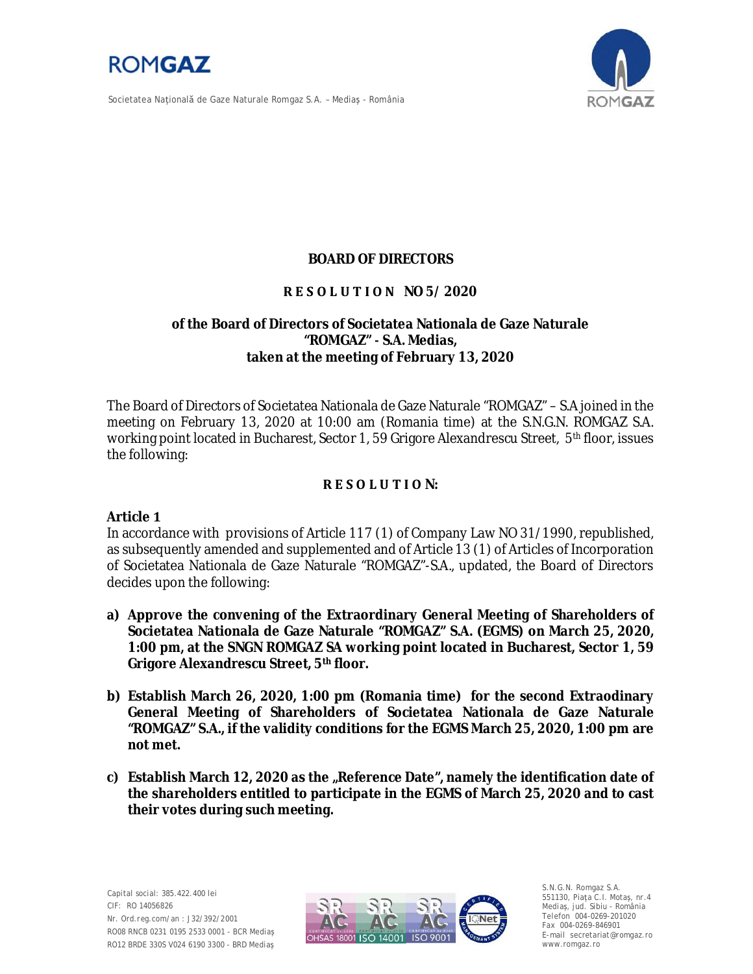

Societatea Naţională de Gaze Naturale Romgaz S.A. – Mediaş - România



# **BOARD OF DIRECTORS**

# **R E S O L U T I O N NO 5/ 2020**

# **of the Board of Directors of Societatea Nationala de Gaze Naturale** "ROMGAZ" - S.A. Medias, **taken at the meeting of February 13, 2020**

The Board of Directors of Societatea Nationala de Gaze Naturale "ROMGAZ" – S.A joined in the meeting on February 13, 2020 at 10:00 am (Romania time) at the S.N.G.N. ROMGAZ S.A. working point located in Bucharest, Sector 1, 59 Grigore Alexandrescu Street, 5<sup>th</sup> floor, issues the following:

# **R E S O L U T I O N:**

Article **1** 

In accordance with provisions of Article 117 (1) of Company Law NO 31/1990, republished, as subsequently amended and supplemented and of Article 13 (1) of Articles of Incorporation of Societatea Nationala de Gaze Naturale "ROMGAZ"-S.A., updated, the Board of Directors decides upon the following:

- **a) Approve the convening of the Extraordinary General Meeting of Shareholders of Societatea Nationala de Gaze Naturale "ROMGAZ" S.A. (EGMS) on March 25, 2020, 1:00 pm, at the SNGN ROMGAZ SA working point located in Bucharest, Sector 1, 59 Grigore Alexandrescu Street, 5th floor.**
- **b) Establish March 26, 2020, 1:00 pm (Romania time) for the second Extraodinary General Meeting of Shareholders of Societatea Nationala de Gaze Naturale "ROMGAZ" S.A., if the validity conditions for the EGMS March 25, 2020, 1:00 pm are**  $not met.$
- **c) Establish March 12, 2020 as the "Reference Date", namely the identification date of the shareholders entitled to participate in the EGMS of March 25, 2020 and to cast their votes during such meeting.**



S.N.G.N. Romgaz S.A. 551130, Piața C.I. Motaş, nr.4 Mediaş, jud. Sibiu - România Telefon 004-0269-201020 Fax 004-0269-846901 E-mail secretariat@romgaz.ro www.romgaz.ro